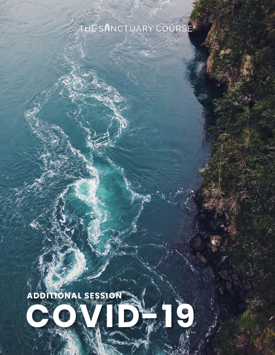# THE SANCTUARY COURSE®



1 | COVID-19<sup>9</sup>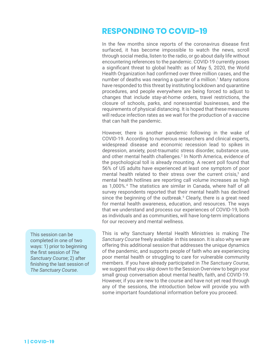## **RESPONDING TO COVID-19**

In the few months since reports of the coronavirus disease first surfaced, it has become impossible to watch the news, scroll through social media, listen to the radio, or go about daily life without encountering references to the pandemic. COVID-19 currently poses a significant threat to global health: as of May 5, 2020, the World Health Organization had confirmed over three million cases, and the number of deaths was nearing a quarter of a million.<sup>1</sup> Many nations have responded to this threat by instituting lockdown and quarantine procedures, and people everywhere are being forced to adjust to changes that include stay-at-home orders, travel restrictions, the closure of schools, parks, and nonessential businesses, and the requirements of physical distancing. It is hoped that these measures will reduce infection rates as we wait for the production of a vaccine that can halt the pandemic.

However, there is another pandemic following in the wake of COVID-19. According to numerous researchers and clinical experts, widespread disease and economic recession lead to spikes in depression, anxiety, post-traumatic stress disorder, substance use, and other mental health challenges.<sup>2</sup> In North America, evidence of the psychological toll is already mounting. A recent poll found that 56% of US adults have experienced at least one symptom of poor mental health related to their stress over the current crisis, $3$  and mental health hotlines are reporting call volume increases as high as 1,000%.<sup>4</sup> The statistics are similar in Canada, where half of all survey respondents reported that their mental health has declined since the beginning of the outbreak.<sup>5</sup> Clearly, there is a great need for mental health awareness, education, and resources. The ways that we understand and process our experiences of COVID-19, both as individuals and as communities, will have long-term implications for our recovery and mental wellness.

This is why Sanctuary Mental Health Ministries is making *The Sanctuary Course* freely available in this season. It is also why we are offering this additional session that addresses the unique dynamics of the pandemic, and supports people of faith who are experiencing poor mental health or struggling to care for vulnerable community members. If you have already participated in *The Sanctuary Course*, we suggest that you skip down to the Session Overview to begin your small group conversation about mental health, faith, and COVID-19. However, if you are new to the course and have not yet read through any of the sessions, the introduction below will provide you with some important foundational information before you proceed.

This session can be completed in one of two ways: 1) prior to beginning the first session of *The Sanctuary Course*; 2) after finishing the last session of *The Sanctuary Course*.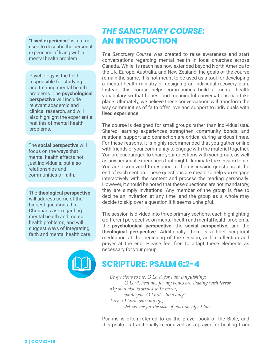**"Lived experience"** is a term used to describe the personal experience of living with a mental health problem.

Psychology is the field responsible for studying and treating mental health problems. The **psychological perspective** will include relevant academic and clinical research, and will also highlight the experiential realities of mental health problems.

The **social perspective** will focus on the ways that mental health affects not just individuals, but also relationships and communities of faith.

The **theological perspective**  will address some of the biggest questions that Christians ask regarding mental health and mental health problems, and will suggest ways of integrating faith and mental health care.



## *THE SANCTUARY COURSE***: AN INTRODUCTION**

*The Sanctuary Course* was created to raise awareness and start conversations regarding mental health in local churches across Canada. While its reach has now extended beyond North America to the UK, Europe, Australia, and New Zealand, the goals of the course remain the same. It is not meant to be used as a tool for developing a mental health ministry or designing an individual recovery plan. Instead, this course helps communities build a mental health vocabulary so that honest and meaningful conversations can take place. Ultimately, we believe these conversations will transform the way communities of faith offer love and support to individuals with **lived experience**.

The course is designed for small groups rather than individual use. Shared learning experiences strengthen community bonds, and relational support and connection are critical during anxious times. For these reasons, it is highly recommended that you gather online with friends or your community to engage with the material together. You are encouraged to share your questions with your group, as well as any personal experiences that might illuminate the session topic. You are also invited to respond to the discussion questions at the end of each section. These questions are meant to help you engage interactively with the content and process the reading personally. However, it should be noted that these questions are not mandatory; they are simply invitations. Any member of the group is free to decline an invitation at any time, and the group as a whole may decide to skip over a question if it seems unhelpful.

The session is divided into three primary sections, each highlighting a different perspective on mental health and mental health problems: the **psychological perspective,** the **social perspective,** and the **theological perspective**. Additionally, there is a brief scriptural meditation at the beginning of the session, and a reflection and prayer at the end. Please feel free to adapt these elements as necessary for your group.

## **SCRIPTURE: PSALM 6:2-4**

*Be gracious to me, O Lord, for I am languishing; O Lord, heal me, for my bones are shaking with terror. My soul also is struck with terror, while you, O Lord—how long? Turn, O Lord, save my life; deliver me for the sake of your steadfast love.*

Psalms is often referred to as the prayer book of the Bible, and this psalm is traditionally recognized as a prayer for healing from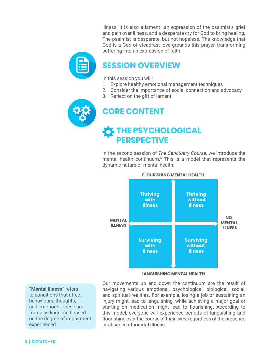illness. It is also a lament—an expression of the psalmist's grief and pain over illness, and a desperate cry for God to bring healing. The psalmist is desperate, but not hopeless. The knowledge that God is a God of steadfast love grounds this prayer, transforming suffering into an expression of faith.



## **SESSION OVERVIEW**

In this session you will:

- 1. Explore healthy emotional management techniques
- 2. Consider the importance of social connection and advocacy
- 3. Reflect on the gift of lament



## **CORE CONTENT**

## **THE PSYCHOLOGICAL PERSPECTIVE**

In the second session of *The Sanctuary Course*, we introduce the mental health continuum.<sup>6</sup> This is a model that represents the dynamic nature of mental health:



### **FLOURISHING MENTAL HEALTH**

#### **LANGUISHING MENTAL HEALTH**

**"Mental illness"** refers to conditions that affect behaviours, thoughts, and emotions. These are formally diagnosed based on the degree of impairment experienced.

Our movements up and down the continuum are the result of navigating various emotional, psychological, biological, social, and spiritual realities. For example, losing a job or sustaining an injury might lead to languishing, while achieving a major goal or starting on medication might lead to flourishing. According to this model, everyone will experience periods of languishing and flourishing over the course of their lives, regardless of the presence or absence of **mental illness**.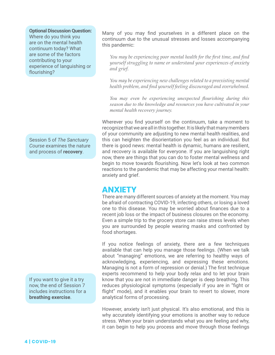**Optional Discussion Question:**  Where do you think you are on the mental health continuum today? What are some of the factors contributing to your experience of languishing or flourishing?

Session 5 of *The Sanctuary Course* examines the nature and process of **recovery**.

If you want to give it a try now, the end of Session 7 includes instructions for a **breathing exercise**.

Many of you may find yourselves in a different place on the continuum due to the unusual stresses and losses accompanying this pandemic:

*You may be experiencing poor mental health for the first time, and find yourself struggling to name or understand your experiences of anxiety and grief.*

*You may be experiencing new challenges related to a preexisting mental health problem, and find yourself feeling discouraged and overwhelmed.*

*You may even be experiencing unexpected flourishing during this season due to the knowledge and resources you have cultivated in your mental health recovery journey.*

Wherever you find yourself on the continuum, take a moment to recognize that we are all in this together. It is likely that many members of your community are adjusting to new mental health realities, and this can heighten the disorientation you feel as an individual. But there is good news: mental health is dynamic, humans are resilient, and recovery is available for everyone. If you are languishing right now, there are things that you can do to foster mental wellness and begin to move towards flourishing. Now let's look at two common reactions to the pandemic that may be affecting your mental health: anxiety and grief.

### **ANXIETY**

There are many different sources of anxiety at the moment. You may be afraid of contracting COVID-19, infecting others, or losing a loved one to this disease. You may be worried about finances due to a recent job loss or the impact of business closures on the economy. Even a simple trip to the grocery store can raise stress levels when you are surrounded by people wearing masks and confronted by food shortages.

If you notice feelings of anxiety, there are a few techniques available that can help you manage those feelings. (When we talk about "managing" emotions, we are referring to healthy ways of acknowledging, experiencing, and expressing these emotions. Managing is not a form of repression or denial.) The first technique experts recommend to help your body relax and to let your brain know that you are not in immediate danger is deep breathing. This reduces physiological symptoms (especially if you are in "fight or flight" mode), and it enables your brain to revert to slower, more analytical forms of processing.

However, anxiety isn't just physical. It's also emotional, and this is why accurately identifying your emotions is another way to reduce stress. When your brain understands what you are feeling and why, it can begin to help you process and move through those feelings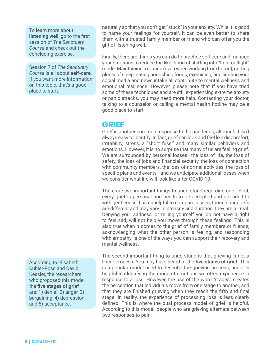To learn more about **listening well**, go to the first session of *The Sanctuary Course* and check out the concluding exercise.

Session 7 of *The Sanctuary Course* is all about **self-care**. If you want more information on this topic, that's a good place to start.

According to Elisabeth Kubler-Ross and David Kessler, the researchers who proposed this model, the **five stages of grief** are: 1) denial, 2) anger, 3) bargaining, 4) depression, and 5) acceptance.

naturally so that you don't get "stuck" in your anxiety. While it is good to name your feelings for yourself, it can be even better to share them with a trusted family member or friend who can offer you the gift of listening well.

Finally, there are things you can do to practice self-care and manage your emotions to reduce the likelihood of shifting into "fight or flight" mode. Maintaining a routine (even when working from home), getting plenty of sleep, eating nourishing foods, exercising, and limiting your social media and news intake all contribute to mental wellness and emotional resilience. However, please note that if you have tried some of these techniques and are still experiencing extreme anxiety or panic attacks, you may need more help. Contacting your doctor, talking to a counselor, or calling a mental health hotline may be a good place to start.

### **GRIEF**

Grief is another common response to the pandemic, although it isn't always easy to identify. In fact, grief can look and feel like discomfort, irritability, stress, a "short fuse," and many similar behaviors and emotions. However, it is no surprise that many of us are feeling grief. We are surrounded by personal losses—the loss of life, the loss of safety, the loss of jobs and financial security, the loss of connection with community members, the loss of normal activities, the loss of specific plans and events—and we anticipate additional losses when we consider what life will look like after COVID-19.

There are two important things to understand regarding grief. First, every grief is personal and needs to be accepted and attended to with gentleness. It is unhelpful to compare losses; though our griefs are different and may vary in intensity and duration, they are all real. Denying your sadness, or telling yourself you do not have a right to feel sad, will not help you move through these feelings. This is also true when it comes to the grief of family members or friends; acknowledging what the other person is feeling, and responding with empathy, is one of the ways you can support their recovery and mental wellness.

The second important thing to understand is that grieving is not a linear process. You may have heard of the **five stages of grief**. This is a popular model used to describe the grieving process, and it is helpful in identifying the range of emotions we often experience in response to a loss. However, the use of the word "stages" creates the perception that individuals move from one stage to another, and that they are finished grieving when they reach the fifth and final stage. In reality, the experience of processing loss is less clearly defined. This is where the dual process model of grief is helpful. According to this model, people who are grieving alternate between two responses to pain: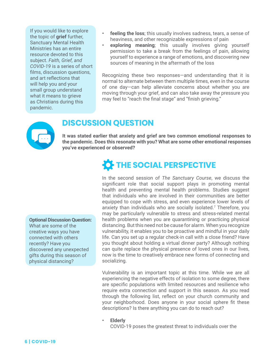If you would like to explore the topic of **grief** further, Sanctuary Mental Health Ministries has an entire resource devoted to this subject. *Faith, Grief, and COVID-19* is a series of short films, discussion questions, and art reflections that will help you and your small group understand what it means to grieve as Christians during this pandemic.

- **feeling the loss**; this usually involves sadness, tears, a sense of heaviness, and other recognizable expressions of pain
- **exploring meaning**; this usually involves giving yourself permission to take a break from the feelings of pain, allowing yourself to experience a range of emotions, and discovering new sources of meaning in the aftermath of the loss

Recognizing these two responses—and understanding that it is normal to alternate between them multiple times, even in the course of one day—can help alleviate concerns about whether you are moving through your grief, and can also take away the pressure you may feel to "reach the final stage" and "finish grieving."



### **DISCUSSION QUESTION**

**It was stated earlier that anxiety and grief are two common emotional responses to the pandemic. Does this resonate with you? What are some other emotional responses you've experienced or observed?**

# **THE SOCIAL PERSPECTIVE**

In the second session of *The Sanctuary Course*, we discuss the significant role that social support plays in promoting mental health and preventing mental health problems. Studies suggest that individuals who are involved in their communities are better equipped to cope with stress, and even experience lower levels of anxiety than individuals who are socially isolated.<sup>7</sup> Therefore, you may be particularly vulnerable to stress and stress-related mental health problems when you are quarantining or practicing physical distancing. But this need not be cause for alarm. When you recognize vulnerability, it enables you to be proactive and mindful in your daily life. Can you set up a regular check-in call with a close friend? Have you thought about holding a virtual dinner party? Although nothing can quite replace the physical presence of loved ones in our lives, now is the time to creatively embrace new forms of connecting and socializing.

Vulnerability is an important topic at this time. While we are all experiencing the negative effects of isolation to some degree, there are specific populations with limited resources and resilience who require extra connection and support in this season. As you read through the following list, reflect on your church community and your neighborhood. Does anyone in your social sphere fit these descriptions? Is there anything you can do to reach out?

**• Elderly**

COVID-19 poses the greatest threat to individuals over the

### **Optional Discussion Question:**

What are some of the creative ways you have connected with others recently? Have you discovered any unexpected gifts during this season of physical distancing?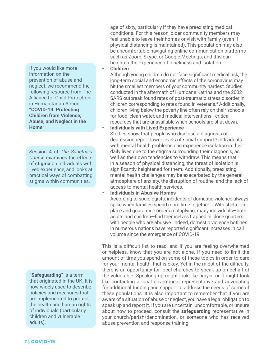If you would like more information on the prevention of abuse and neglect, we recommend the following resource from The Alliance for Child Protection in Humanitarian Action: **["COVID-19: Protecting](https://www.alliancecpha.org/en/child-protection-online-library/covid-19-protecting-children-violence-abuse-and-neglect-home)  [Children from Violence,](https://www.alliancecpha.org/en/child-protection-online-library/covid-19-protecting-children-violence-abuse-and-neglect-home)  [Abuse, and Neglect in the](https://www.alliancecpha.org/en/child-protection-online-library/covid-19-protecting-children-violence-abuse-and-neglect-home)  [Home"](https://www.alliancecpha.org/en/child-protection-online-library/covid-19-protecting-children-violence-abuse-and-neglect-home)**

Session 4 of *The Sanctuary Course* examines the effects of **stigma** on individuals with lived experience, and looks at practical ways of combatting stigma within communities.

**"Safeguarding"** is a term that originated in the UK. It is now widely used to describe policies and measures that are implemented to protect the health and human rights of individuals (particularly children and vulnerable adults).

age of sixty, particularly if they have preexisting medical conditions. For this reason, older community members may feel unable to leave their homes or visit with family (even if physical distancing is maintained). This population may also be uncomfortable navigating online communication platforms such as Zoom, Skype, or Google Meetings, and this can heighten the experience of loneliness and isolation.

#### **• Children**

Although young children do not face significant medical risk, the long-term social and economic effects of the coronavirus may hit the smallest members of your community hardest. Studies conducted in the aftermath of Hurricane Katrina and the 2002 SARS outbreak found rates of post-traumatic stress disorder in children corresponding to rates found in veterans.<sup>8</sup> Additionally, children living below the poverty line often rely on their schools for food, clean water, and medical interventions—critical resources that are unavailable when schools are shut down.

**• Individuals with Lived Experience** 

Studies show that people who disclose a diagnosis of depression report lower levels of social support.<sup>9</sup> Individuals with mental health problems can experience isolation in their daily lives due to the stigma surrounding their diagnosis, as well as their own tendencies to withdraw. This means that in a season of physical distancing, the threat of isolation is significantly heightened for them. Additionally, preexisting mental health challenges may be exacerbated by the general atmosphere of anxiety, the disruption of routine, and the lack of access to mental health services.

### **• Individuals in Abusive Homes**

According to sociologists, incidents of domestic violence always spike when families spend more time together.<sup>10</sup> With shelter-inplace and quarantine orders multiplying, many individuals—both adults and children—find themselves trapped in close quarters with people who are abusive. Indeed, domestic violence hotlines in numerous nations have reported significant increases in call volume since the emergence of COVID-19.

This is a difficult list to read, and if you are feeling overwhelmed or helpless, know that you are not alone. If you need to limit the amount of time you spend on some of these topics in order to care for your mental health, that is okay. Yet in the midst of the difficulty, there is an opportunity for local churches to speak up on behalf of the vulnerable. Speaking up might look like prayer, or it might look like contacting a local government representative and advocating for additional funding and support to address the needs of some of these populations. It is also important to remember that if you are aware of a situation of abuse or neglect, you have a legal obligation to speak up and report it. If you are uncertain, uncomfortable, or unsure about how to proceed, consult the **safeguarding** representative in your church/parish/denomination, or someone who has received abuse prevention and response training.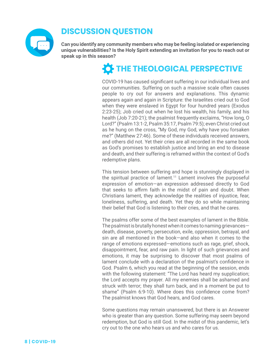

## **DISCUSSION QUESTION**

**Can you identify any community members who may be feeling isolated or experiencing unique vulnerabilities? Is the Holy Spirit extending an invitation for you to reach out or speak up in this season?**

## **THE THEOLOGICAL PERSPECTIVE**

COVID-19 has caused significant suffering in our individual lives and our communities. Suffering on such a massive scale often causes people to cry out for answers and explanations. This dynamic appears again and again in Scripture: the Israelites cried out to God when they were enslaved in Egypt for four hundred years (Exodus 2:23-25); Job cried out when he lost his wealth, his family, and his health (Job 7:20-21); the psalmist frequently exclaims, "How long, O Lord?" (Psalm 13:1-2, Psalm 35:17, Psalm 79:5); even Christ cried out as he hung on the cross, "My God, my God, why have you forsaken me?" (Matthew 27:46). Some of these individuals received answers, and others did not. Yet their cries are all recorded in the same book as God's promises to establish justice and bring an end to disease and death, and their suffering is reframed within the context of God's redemptive plans.

This tension between suffering and hope is stunningly displayed in the spiritual practice of lament.<sup>11</sup> Lament involves the purposeful expression of emotion—an expression addressed directly to God that seeks to affirm faith in the midst of pain and doubt. When Christians lament, they acknowledge the realities of injustice, fear, loneliness, suffering, and death. Yet they do so while maintaining their belief that God is listening to their cries, and that he cares.

The psalms offer some of the best examples of lament in the Bible. The psalmist is brutally honest when it comes to naming grievances death, disease, poverty, persecution, exile, oppression, betrayal, and sin are all mentioned in the book—and also when it comes to the range of emotions expressed—emotions such as rage, grief, shock, disappointment, fear, and raw pain. In light of such grievances and emotions, it may be surprising to discover that most psalms of lament conclude with a declaration of the psalmist's confidence in God. Psalm 6, which you read at the beginning of the session, ends with the following statement: "The Lord has heard my supplication; the Lord accepts my prayer. All my enemies shall be ashamed and struck with terror; they shall turn back, and in a moment be put to shame" (Psalm 6:9-10). Where does this confidence come from? The psalmist knows that God hears, and God cares.

Some questions may remain unanswered, but there is an Answerer who is greater than any question. Some suffering may seem beyond redemption, but God is still God. In the midst of this pandemic, let's cry out to the one who hears us and who cares for us.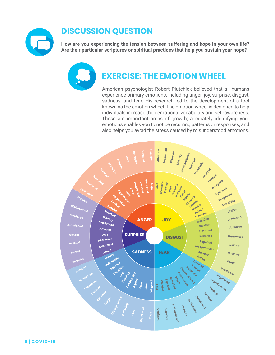

## **DISCUSSION QUESTION**

**How are you experiencing the tension between suffering and hope in your own life? Are their particular scriptures or spiritual practices that help you sustain your hope?**

## **EXERCISE: THE EMOTION WHEEL**

American psychologist Robert Plutchick believed that all humans experience primary emotions, including anger, joy, surprise, disgust, sadness, and fear. His research led to the development of a tool known as the emotion wheel. The emotion wheel is designed to help individuals increase their emotional vocabulary and self-awareness. These are important areas of growth; accurately identifying your emotions enables you to notice recurring patterns or responses, and also helps you avoid the stress caused by misunderstood emotions.

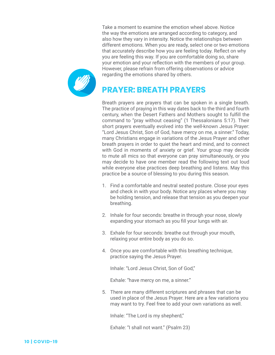Take a moment to examine the emotion wheel above. Notice the way the emotions are arranged according to category, and also how they vary in intensity. Notice the relationships between different emotions. When you are ready, select one or two emotions that accurately describe how you are feeling today. Reflect on why you are feeling this way. If you are comfortable doing so, share your emotion and your reflection with the members of your group. However, please refrain from offering observations or advice regarding the emotions shared by others.

## **PRAYER: BREATH PRAYERS**

Breath prayers are prayers that can be spoken in a single breath. The practice of praying in this way dates back to the third and fourth century, when the Desert Fathers and Mothers sought to fulfill the command to "pray without ceasing" (1 Thessalonians 5:17). Their short prayers eventually evolved into the well-known Jesus Prayer: "Lord Jesus Christ, Son of God, have mercy on me, a sinner." Today, many Christians engage in variations of the Jesus Prayer and other breath prayers in order to quiet the heart and mind, and to connect with God in moments of anxiety or grief. Your group may decide to mute all mics so that everyone can pray simultaneously, or you may decide to have one member read the following text out loud while everyone else practices deep breathing and listens. May this practice be a source of blessing to you during this season.

- 1. Find a comfortable and neutral seated posture. Close your eyes and check in with your body. Notice any places where you may be holding tension, and release that tension as you deepen your breathing.
- 2. Inhale for four seconds: breathe in through your nose, slowly expanding your stomach as you fill your lungs with air.
- 3. Exhale for four seconds: breathe out through your mouth, relaxing your entire body as you do so.
- 4. Once you are comfortable with this breathing technique, practice saying the Jesus Prayer.

Inhale: "Lord Jesus Christ, Son of God,"

Exhale: "have mercy on me, a sinner."

5. There are many different scriptures and phrases that can be used in place of the Jesus Prayer. Here are a few variations you may want to try. Feel free to add your own variations as well.

Inhale: "The Lord is my shepherd,"

Exhale: "I shall not want." (Psalm 23)